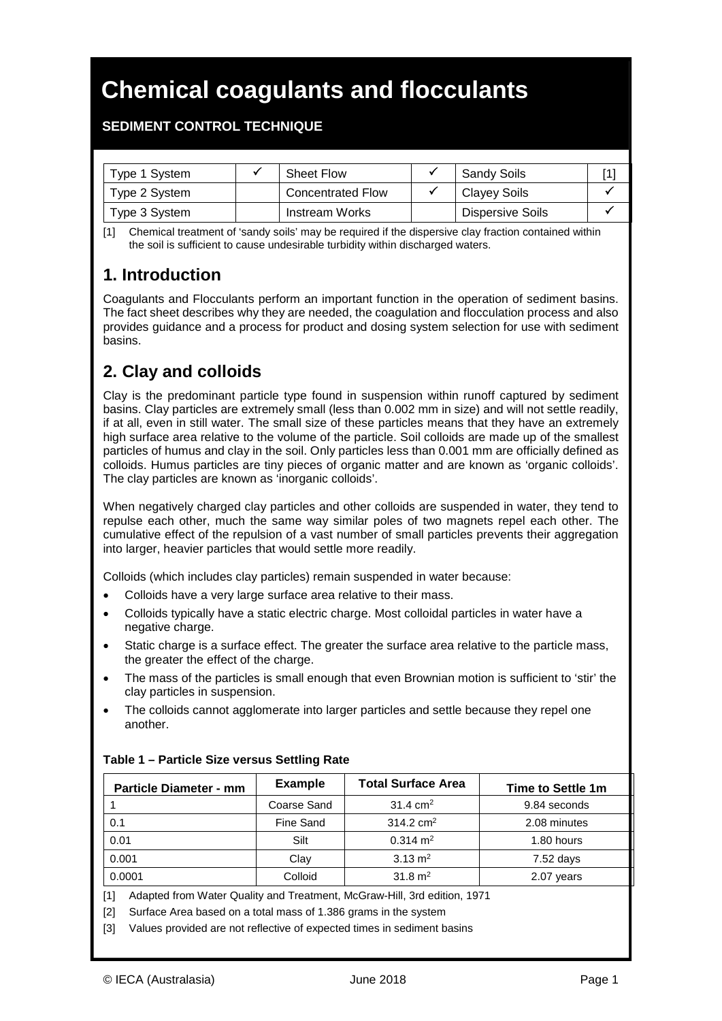# **Chemical coagulants and flocculants**

### **SEDIMENT CONTROL TECHNIQUE**

| Type 1 System | <b>Sheet Flow</b>        | <b>Sandy Soils</b> |  |
|---------------|--------------------------|--------------------|--|
| Type 2 System | <b>Concentrated Flow</b> | Clayey Soils       |  |
| Type 3 System | Instream Works           | Dispersive Soils   |  |

[1] Chemical treatment of 'sandy soils' may be required if the dispersive clay fraction contained within the soil is sufficient to cause undesirable turbidity within discharged waters.

### **1. Introduction**

 $\overline{a}$ 

Coagulants and Flocculants perform an important function in the operation of sediment basins. The fact sheet describes why they are needed, the coagulation and flocculation process and also provides guidance and a process for product and dosing system selection for use with sediment basins.

# **2. Clay and colloids**

Clay is the predominant particle type found in suspension within runoff captured by sediment basins. Clay particles are extremely small (less than 0.002 mm in size) and will not settle readily, if at all, even in still water. The small size of these particles means that they have an extremely high surface area relative to the volume of the particle. Soil colloids are made up of the smallest particles of humus and clay in the soil. Only particles less than 0.001 mm are officially defined as colloids. Humus particles are tiny pieces of organic matter and are known as 'organic colloids'. The clay particles are known as 'inorganic colloids'.

When negatively charged clay particles and other colloids are suspended in water, they tend to repulse each other, much the same way similar poles of two magnets repel each other. The cumulative effect of the repulsion of a vast number of small particles prevents their aggregation into larger, heavier particles that would settle more readily.

Colloids (which includes clay particles) remain suspended in water because:

- Colloids have a very large surface area relative to their mass.
- Colloids typically have a static electric charge. Most colloidal particles in water have a negative charge.
- Static charge is a surface effect. The greater the surface area relative to the particle mass, the greater the effect of the charge.
- The mass of the particles is small enough that even Brownian motion is sufficient to 'stir' the clay particles in suspension.
- The colloids cannot agglomerate into larger particles and settle because they repel one another.

| <b>Particle Diameter - mm</b> | <b>Example</b> | <b>Total Surface Area</b> | Time to Settle 1m |
|-------------------------------|----------------|---------------------------|-------------------|
|                               | Coarse Sand    | $31.4 \text{ cm}^2$       | 9.84 seconds      |
| 0.1                           | Fine Sand      | $314.2 \text{ cm}^2$      | 2.08 minutes      |
| 0.01                          | Silt           | $0.314 \text{ m}^2$       | 1.80 hours        |
| 0.001                         | Clay           | 3.13 $m2$                 | 7.52 days         |
| 0.0001                        | Colloid        | 31.8 $m2$                 | 2.07 years        |

#### **Table 1 – Particle Size versus Settling Rate**

[1] Adapted from Water Quality and Treatment, McGraw-Hill, 3rd edition, 1971

[2] Surface Area based on a total mass of 1.386 grams in the system

[3] Values provided are not reflective of expected times in sediment basins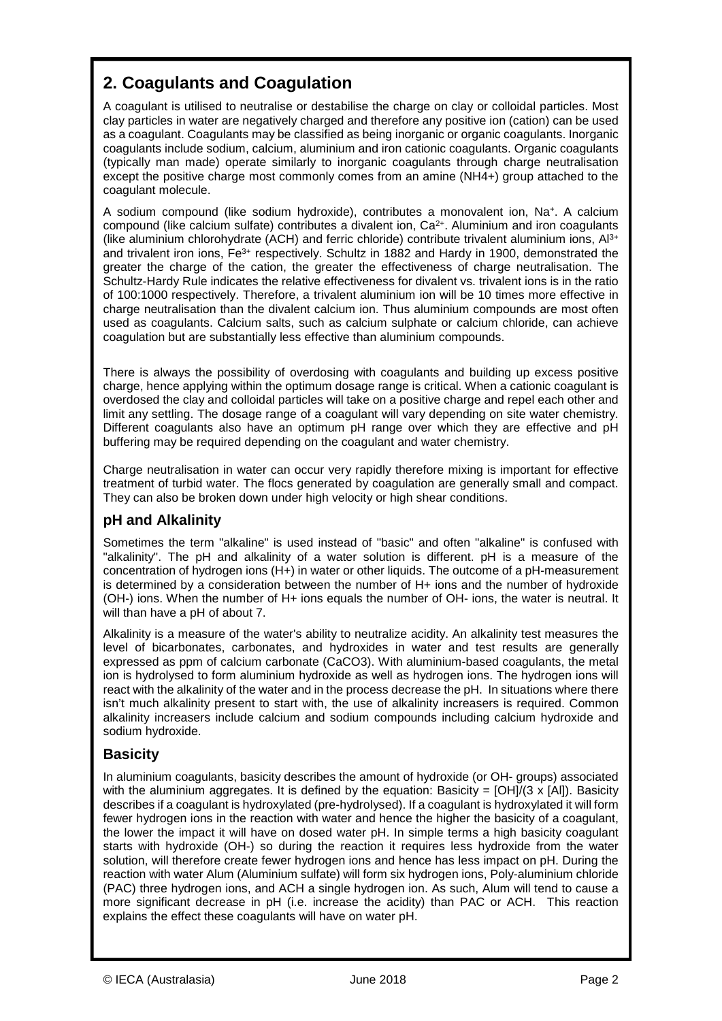# **2. Coagulants and Coagulation**

 $\overline{a}$ 

A coagulant is utilised to neutralise or destabilise the charge on clay or colloidal particles. Most clay particles in water are negatively charged and therefore any positive ion (cation) can be used as a coagulant. Coagulants may be classified as being inorganic or organic coagulants. Inorganic coagulants include sodium, calcium, aluminium and iron cationic coagulants. Organic coagulants (typically man made) operate similarly to inorganic coagulants through charge neutralisation except the positive charge most commonly comes from an amine (NH4+) group attached to the coagulant molecule.

A sodium compound (like sodium hydroxide), contributes a monovalent ion, Na+. A calcium compound (like calcium sulfate) contributes a divalent ion, Ca<sup>2+</sup>. Aluminium and iron coagulants (like aluminium chlorohydrate (ACH) and ferric chloride) contribute trivalent aluminium ions, Al3+ and trivalent iron ions, Fe<sup>3+</sup> respectively. Schultz in 1882 and Hardy in 1900, demonstrated the greater the charge of the cation, the greater the effectiveness of charge neutralisation. The Schultz-Hardy Rule indicates the relative effectiveness for divalent vs. trivalent ions is in the ratio of 100:1000 respectively. Therefore, a trivalent aluminium ion will be 10 times more effective in charge neutralisation than the divalent calcium ion. Thus aluminium compounds are most often used as coagulants. Calcium salts, such as calcium sulphate or calcium chloride, can achieve coagulation but are substantially less effective than aluminium compounds.

There is always the possibility of overdosing with coagulants and building up excess positive charge, hence applying within the optimum dosage range is critical. When a cationic coagulant is overdosed the clay and colloidal particles will take on a positive charge and repel each other and limit any settling. The dosage range of a coagulant will vary depending on site water chemistry. Different coagulants also have an optimum pH range over which they are effective and pH buffering may be required depending on the coagulant and water chemistry.

Charge neutralisation in water can occur very rapidly therefore mixing is important for effective treatment of turbid water. The flocs generated by coagulation are generally small and compact. They can also be broken down under high velocity or high shear conditions.

### **pH and Alkalinity**

Sometimes the term "alkaline" is used instead of "basic" and often "alkaline" is confused with "alkalinity". The pH and alkalinity of a water solution is different. pH is a measure of the concentration of hydrogen ions (H+) in water or other liquids. The outcome of a pH-measurement is determined by a consideration between the number of H+ ions and the number of hydroxide (OH-) ions. When the number of H+ ions equals the number of OH- ions, the water is neutral. It will than have a pH of about 7.

Alkalinity is a measure of the water's ability to neutralize acidity. An alkalinity test measures the level of bicarbonates, carbonates, and hydroxides in water and test results are generally expressed as ppm of calcium carbonate (CaCO3). With aluminium-based coagulants, the metal ion is hydrolysed to form aluminium hydroxide as well as hydrogen ions. The hydrogen ions will react with the alkalinity of the water and in the process decrease the pH. In situations where there isn't much alkalinity present to start with, the use of alkalinity increasers is required. Common alkalinity increasers include calcium and sodium compounds including calcium hydroxide and sodium hydroxide.

### **Basicity**

In aluminium coagulants, basicity describes the amount of hydroxide (or OH- groups) associated with the aluminium aggregates. It is defined by the equation: Basicity =  $[OH]/(3 \times [Al])$ . Basicity describes if a coagulant is hydroxylated (pre-hydrolysed). If a coagulant is hydroxylated it will form fewer hydrogen ions in the reaction with water and hence the higher the basicity of a coagulant, the lower the impact it will have on dosed water pH. In simple terms a high basicity coagulant starts with hydroxide (OH-) so during the reaction it requires less hydroxide from the water solution, will therefore create fewer hydrogen ions and hence has less impact on pH. During the reaction with water Alum (Aluminium sulfate) will form six hydrogen ions, Poly-aluminium chloride (PAC) three hydrogen ions, and ACH a single hydrogen ion. As such, Alum will tend to cause a more significant decrease in pH (i.e. increase the acidity) than PAC or ACH. This reaction explains the effect these coagulants will have on water pH.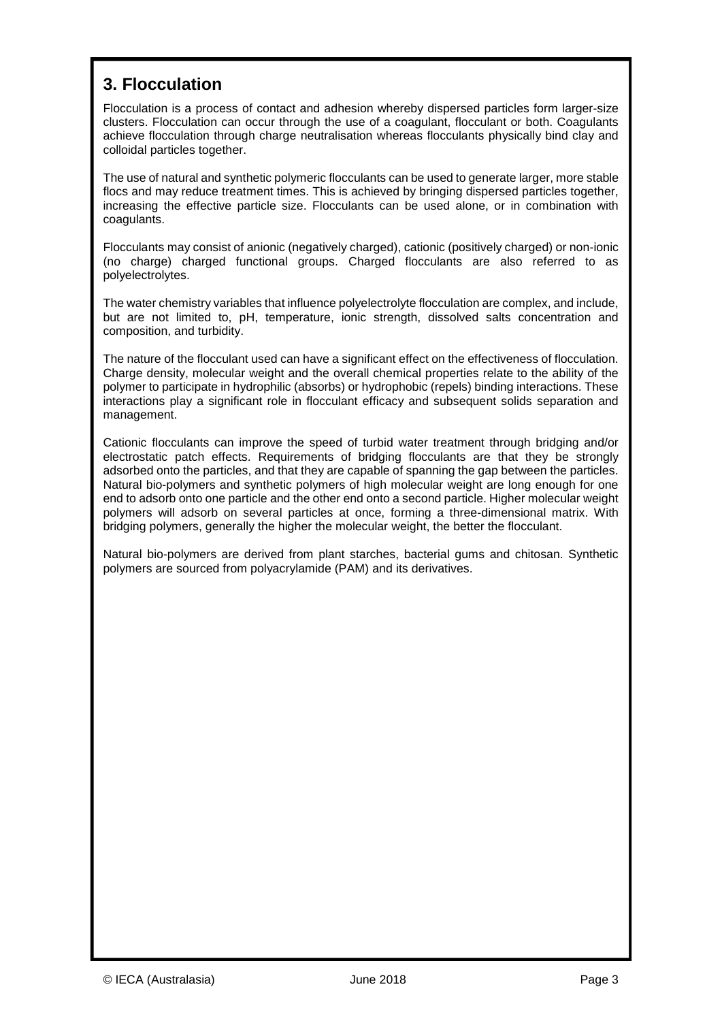# **3. Flocculation**

 $\overline{a}$ 

Flocculation is a process of contact and adhesion whereby dispersed particles form larger-size clusters. Flocculation can occur through the use of a coagulant, flocculant or both. Coagulants achieve flocculation through charge neutralisation whereas flocculants physically bind clay and colloidal particles together.

The use of natural and synthetic polymeric flocculants can be used to generate larger, more stable flocs and may reduce treatment times. This is achieved by bringing dispersed particles together, increasing the effective particle size. Flocculants can be used alone, or in combination with coagulants.

Flocculants may consist of anionic (negatively charged), cationic (positively charged) or non-ionic (no charge) charged functional groups. Charged flocculants are also referred to as polyelectrolytes.

The water chemistry variables that influence polyelectrolyte flocculation are complex, and include, but are not limited to, pH, temperature, ionic strength, dissolved salts concentration and composition, and turbidity.

The nature of the flocculant used can have a significant effect on the effectiveness of flocculation. Charge density, molecular weight and the overall chemical properties relate to the ability of the polymer to participate in hydrophilic (absorbs) or hydrophobic (repels) binding interactions. These interactions play a significant role in flocculant efficacy and subsequent solids separation and management.

Cationic flocculants can improve the speed of turbid water treatment through bridging and/or electrostatic patch effects. Requirements of bridging flocculants are that they be strongly adsorbed onto the particles, and that they are capable of spanning the gap between the particles. Natural bio-polymers and synthetic polymers of high molecular weight are long enough for one end to adsorb onto one particle and the other end onto a second particle. Higher molecular weight polymers will adsorb on several particles at once, forming a three-dimensional matrix. With bridging polymers, generally the higher the molecular weight, the better the flocculant.

Natural bio-polymers are derived from plant starches, bacterial gums and chitosan. Synthetic polymers are sourced from polyacrylamide (PAM) and its derivatives.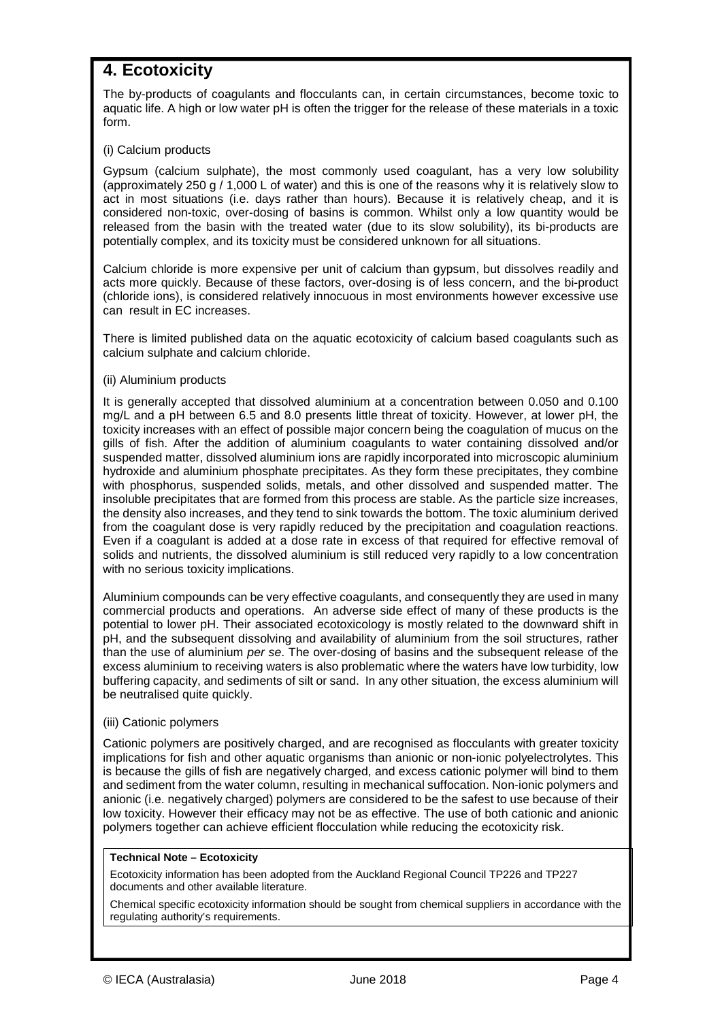### **4. Ecotoxicity**

 $\overline{a}$ 

The by-products of coagulants and flocculants can, in certain circumstances, become toxic to aquatic life. A high or low water pH is often the trigger for the release of these materials in a toxic form.

#### (i) Calcium products

Gypsum (calcium sulphate), the most commonly used coagulant, has a very low solubility (approximately 250 g / 1,000 L of water) and this is one of the reasons why it is relatively slow to act in most situations (i.e. days rather than hours). Because it is relatively cheap, and it is considered non-toxic, over-dosing of basins is common. Whilst only a low quantity would be released from the basin with the treated water (due to its slow solubility), its bi-products are potentially complex, and its toxicity must be considered unknown for all situations.

Calcium chloride is more expensive per unit of calcium than gypsum, but dissolves readily and acts more quickly. Because of these factors, over-dosing is of less concern, and the bi-product (chloride ions), is considered relatively innocuous in most environments however excessive use can result in EC increases.

There is limited published data on the aquatic ecotoxicity of calcium based coagulants such as calcium sulphate and calcium chloride.

#### (ii) Aluminium products

It is generally accepted that dissolved aluminium at a concentration between 0.050 and 0.100 mg/L and a pH between 6.5 and 8.0 presents little threat of toxicity. However, at lower pH, the toxicity increases with an effect of possible major concern being the coagulation of mucus on the gills of fish. After the addition of aluminium coagulants to water containing dissolved and/or suspended matter, dissolved aluminium ions are rapidly incorporated into microscopic aluminium hydroxide and aluminium phosphate precipitates. As they form these precipitates, they combine with phosphorus, suspended solids, metals, and other dissolved and suspended matter. The insoluble precipitates that are formed from this process are stable. As the particle size increases, the density also increases, and they tend to sink towards the bottom. The toxic aluminium derived from the coagulant dose is very rapidly reduced by the precipitation and coagulation reactions. Even if a coagulant is added at a dose rate in excess of that required for effective removal of solids and nutrients, the dissolved aluminium is still reduced very rapidly to a low concentration with no serious toxicity implications.

Aluminium compounds can be very effective coagulants, and consequently they are used in many commercial products and operations. An adverse side effect of many of these products is the potential to lower pH. Their associated ecotoxicology is mostly related to the downward shift in pH, and the subsequent dissolving and availability of aluminium from the soil structures, rather than the use of aluminium *per se*. The over-dosing of basins and the subsequent release of the excess aluminium to receiving waters is also problematic where the waters have low turbidity, low buffering capacity, and sediments of silt or sand. In any other situation, the excess aluminium will be neutralised quite quickly.

#### (iii) Cationic polymers

Cationic polymers are positively charged, and are recognised as flocculants with greater toxicity implications for fish and other aquatic organisms than anionic or non-ionic polyelectrolytes. This is because the gills of fish are negatively charged, and excess cationic polymer will bind to them and sediment from the water column, resulting in mechanical suffocation. Non-ionic polymers and anionic (i.e. negatively charged) polymers are considered to be the safest to use because of their low toxicity. However their efficacy may not be as effective. The use of both cationic and anionic polymers together can achieve efficient flocculation while reducing the ecotoxicity risk.

#### **Technical Note – Ecotoxicity**

Ecotoxicity information has been adopted from the Auckland Regional Council TP226 and TP227 documents and other available literature.

Chemical specific ecotoxicity information should be sought from chemical suppliers in accordance with the regulating authority's requirements.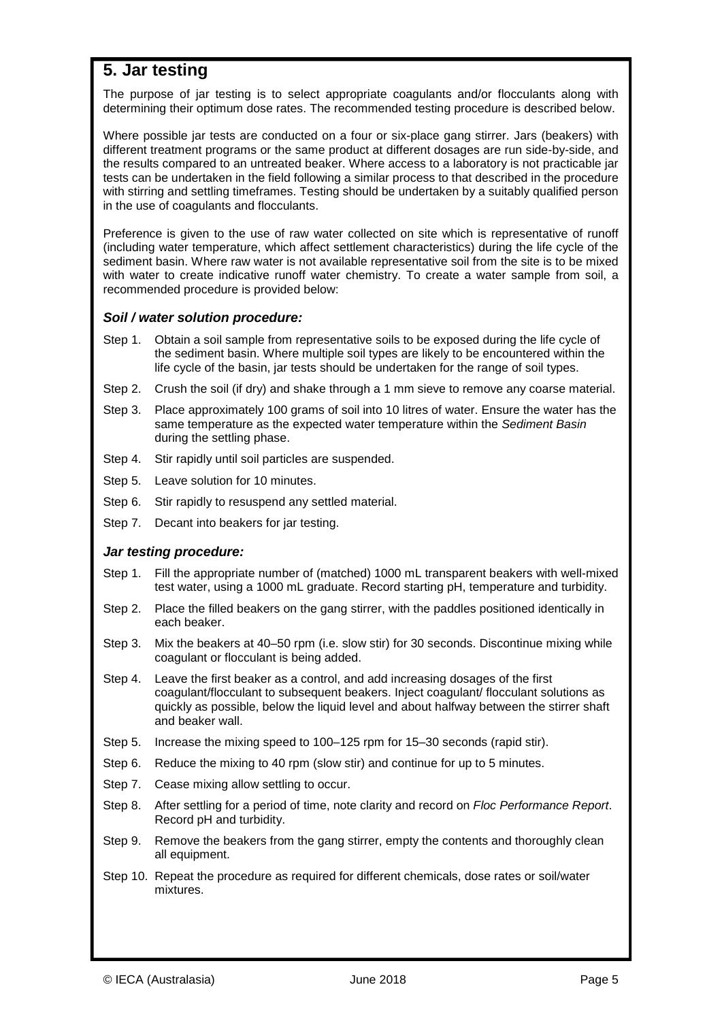### **5. Jar testing**

 $\overline{a}$ 

The purpose of jar testing is to select appropriate coagulants and/or flocculants along with determining their optimum dose rates. The recommended testing procedure is described below.

Where possible jar tests are conducted on a four or six-place gang stirrer. Jars (beakers) with different treatment programs or the same product at different dosages are run side-by-side, and the results compared to an untreated beaker. Where access to a laboratory is not practicable jar tests can be undertaken in the field following a similar process to that described in the procedure with stirring and settling timeframes. Testing should be undertaken by a suitably qualified person in the use of coagulants and flocculants.

Preference is given to the use of raw water collected on site which is representative of runoff (including water temperature, which affect settlement characteristics) during the life cycle of the sediment basin. Where raw water is not available representative soil from the site is to be mixed with water to create indicative runoff water chemistry. To create a water sample from soil, a recommended procedure is provided below:

#### *Soil / water solution procedure:*

- Step 1. Obtain a soil sample from representative soils to be exposed during the life cycle of the sediment basin. Where multiple soil types are likely to be encountered within the life cycle of the basin, jar tests should be undertaken for the range of soil types.
- Step 2. Crush the soil (if dry) and shake through a 1 mm sieve to remove any coarse material.
- Step 3. Place approximately 100 grams of soil into 10 litres of water. Ensure the water has the same temperature as the expected water temperature within the *Sediment Basin* during the settling phase.
- Step 4. Stir rapidly until soil particles are suspended.
- Step 5. Leave solution for 10 minutes.
- Step 6. Stir rapidly to resuspend any settled material.
- Step 7. Decant into beakers for jar testing.

#### *Jar testing procedure:*

- Step 1. Fill the appropriate number of (matched) 1000 mL transparent beakers with well-mixed test water, using a 1000 mL graduate. Record starting pH, temperature and turbidity.
- Step 2. Place the filled beakers on the gang stirrer, with the paddles positioned identically in each beaker.
- Step 3. Mix the beakers at 40–50 rpm (i.e. slow stir) for 30 seconds. Discontinue mixing while coagulant or flocculant is being added.
- Step 4. Leave the first beaker as a control, and add increasing dosages of the first coagulant/flocculant to subsequent beakers. Inject coagulant/ flocculant solutions as quickly as possible, below the liquid level and about halfway between the stirrer shaft and beaker wall.
- Step 5. Increase the mixing speed to 100–125 rpm for 15–30 seconds (rapid stir).
- Step 6. Reduce the mixing to 40 rpm (slow stir) and continue for up to 5 minutes.
- Step 7. Cease mixing allow settling to occur.
- Step 8. After settling for a period of time, note clarity and record on *Floc Performance Report*. Record pH and turbidity.
- Step 9. Remove the beakers from the gang stirrer, empty the contents and thoroughly clean all equipment.
- Step 10. Repeat the procedure as required for different chemicals, dose rates or soil/water mixtures.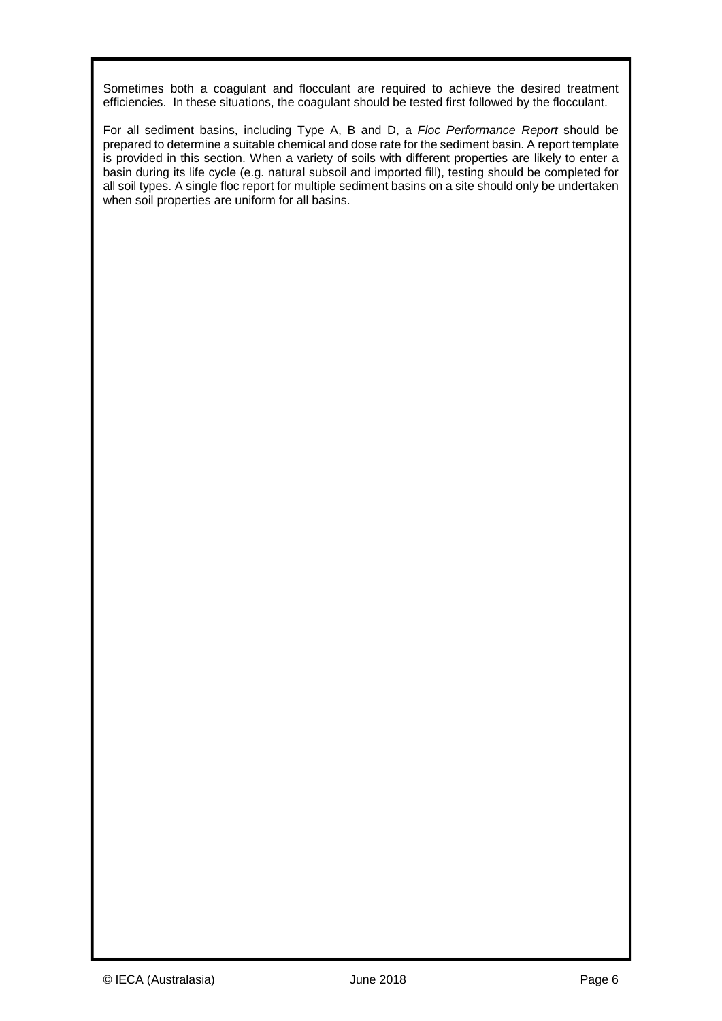Sometimes both a coagulant and flocculant are required to achieve the desired treatment efficiencies. In these situations, the coagulant should be tested first followed by the flocculant.

For all sediment basins, including Type A, B and D, a *Floc Performance Report* should be prepared to determine a suitable chemical and dose rate for the sediment basin. A report template is provided in this section. When a variety of soils with different properties are likely to enter a basin during its life cycle (e.g. natural subsoil and imported fill), testing should be completed for all soil types. A single floc report for multiple sediment basins on a site should only be undertaken when soil properties are uniform for all basins.

 $\overline{a}$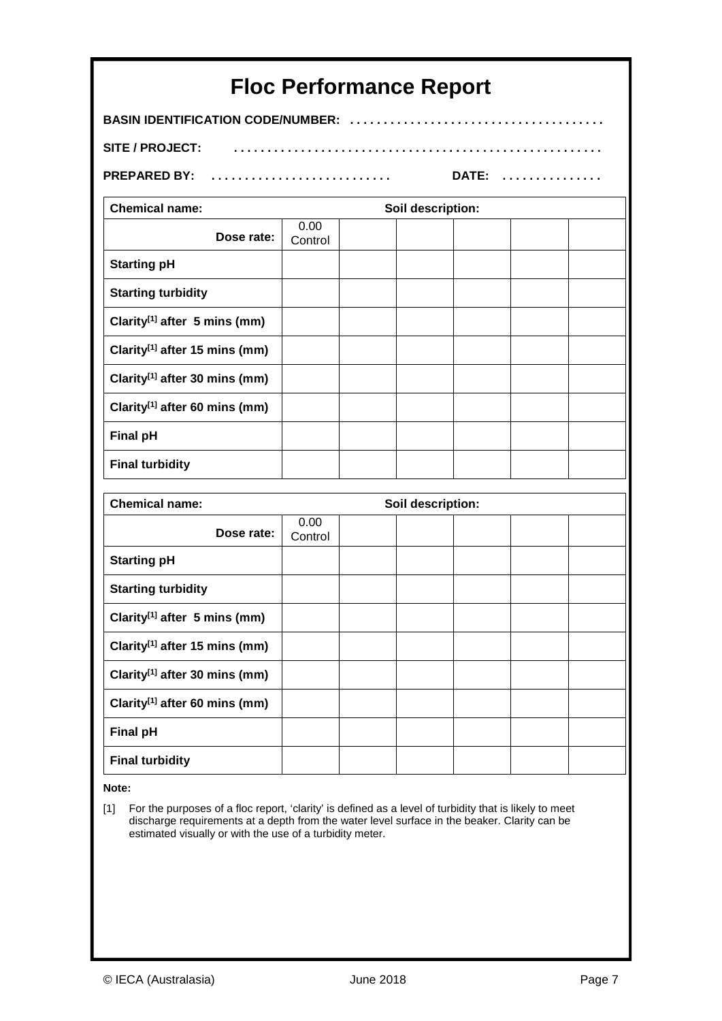| <b>Floc Performance Report</b>            |                 |  |                   |  |  |  |
|-------------------------------------------|-----------------|--|-------------------|--|--|--|
| <b>BASIN IDENTIFICATION CODE/NUMBER:</b>  |                 |  |                   |  |  |  |
| <b>SITE / PROJECT:</b>                    |                 |  |                   |  |  |  |
| <b>PREPARED BY:</b>                       | DATE:           |  |                   |  |  |  |
| <b>Chemical name:</b>                     |                 |  | Soil description: |  |  |  |
| Dose rate:                                | 0.00<br>Control |  |                   |  |  |  |
| <b>Starting pH</b>                        |                 |  |                   |  |  |  |
| <b>Starting turbidity</b>                 |                 |  |                   |  |  |  |
| Clarity <sup>[1]</sup> after 5 mins (mm)  |                 |  |                   |  |  |  |
| Clarity <sup>[1]</sup> after 15 mins (mm) |                 |  |                   |  |  |  |
| Clarity <sup>[1]</sup> after 30 mins (mm) |                 |  |                   |  |  |  |
| Clarity <sup>[1]</sup> after 60 mins (mm) |                 |  |                   |  |  |  |
| <b>Final pH</b>                           |                 |  |                   |  |  |  |
| <b>Final turbidity</b>                    |                 |  |                   |  |  |  |
| <b>Chemical name:</b>                     |                 |  | Soil description: |  |  |  |
| Dose rate:                                | 0.00<br>Control |  |                   |  |  |  |
| <b>Starting pH</b>                        |                 |  |                   |  |  |  |
| <b>Starting turbidity</b>                 |                 |  |                   |  |  |  |
| Clarity <sup>[1]</sup> after 5 mins (mm)  |                 |  |                   |  |  |  |
| Clarity <sup>[1]</sup> after 15 mins (mm) |                 |  |                   |  |  |  |
| Clarity <sup>[1]</sup> after 30 mins (mm) |                 |  |                   |  |  |  |
| Clarity <sup>[1]</sup> after 60 mins (mm) |                 |  |                   |  |  |  |
| <b>Final pH</b>                           |                 |  |                   |  |  |  |
| <b>Final turbidity</b>                    |                 |  |                   |  |  |  |
|                                           |                 |  |                   |  |  |  |

**Note:**

 $\overline{a}$ 

[1] For the purposes of a floc report, 'clarity' is defined as a level of turbidity that is likely to meet discharge requirements at a depth from the water level surface in the beaker. Clarity can be estimated visually or with the use of a turbidity meter.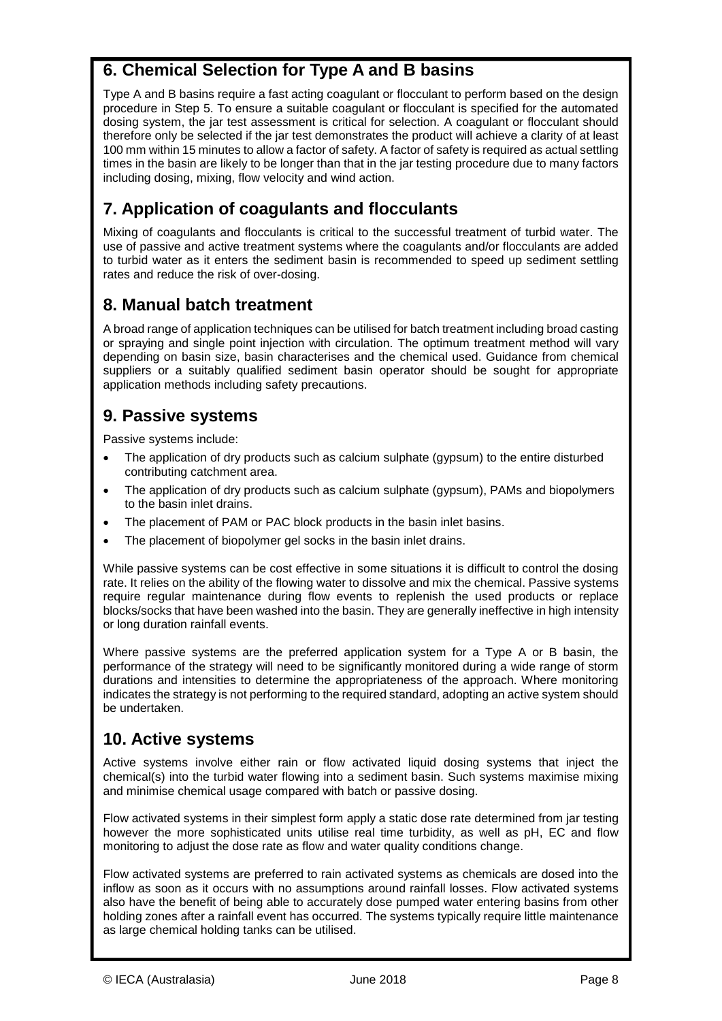## **6. Chemical Selection for Type A and B basins**

Type A and B basins require a fast acting coagulant or flocculant to perform based on the design procedure in Step 5. To ensure a suitable coagulant or flocculant is specified for the automated dosing system, the jar test assessment is critical for selection. A coagulant or flocculant should therefore only be selected if the jar test demonstrates the product will achieve a clarity of at least 100 mm within 15 minutes to allow a factor of safety. A factor of safety is required as actual settling times in the basin are likely to be longer than that in the jar testing procedure due to many factors including dosing, mixing, flow velocity and wind action.

# **7. Application of coagulants and flocculants**

Mixing of coagulants and flocculants is critical to the successful treatment of turbid water. The use of passive and active treatment systems where the coagulants and/or flocculants are added to turbid water as it enters the sediment basin is recommended to speed up sediment settling rates and reduce the risk of over-dosing.

### **8. Manual batch treatment**

A broad range of application techniques can be utilised for batch treatment including broad casting or spraying and single point injection with circulation. The optimum treatment method will vary depending on basin size, basin characterises and the chemical used. Guidance from chemical suppliers or a suitably qualified sediment basin operator should be sought for appropriate application methods including safety precautions.

### **9. Passive systems**

Passive systems include:

 $\overline{a}$ 

- The application of dry products such as calcium sulphate (gypsum) to the entire disturbed contributing catchment area.
- The application of dry products such as calcium sulphate (gypsum), PAMs and biopolymers to the basin inlet drains.
- The placement of PAM or PAC block products in the basin inlet basins.
- The placement of biopolymer gel socks in the basin inlet drains.

While passive systems can be cost effective in some situations it is difficult to control the dosing rate. It relies on the ability of the flowing water to dissolve and mix the chemical. Passive systems require regular maintenance during flow events to replenish the used products or replace blocks/socks that have been washed into the basin. They are generally ineffective in high intensity or long duration rainfall events.

Where passive systems are the preferred application system for a Type A or B basin, the performance of the strategy will need to be significantly monitored during a wide range of storm durations and intensities to determine the appropriateness of the approach. Where monitoring indicates the strategy is not performing to the required standard, adopting an active system should be undertaken.

### **10. Active systems**

Active systems involve either rain or flow activated liquid dosing systems that inject the chemical(s) into the turbid water flowing into a sediment basin. Such systems maximise mixing and minimise chemical usage compared with batch or passive dosing.

Flow activated systems in their simplest form apply a static dose rate determined from jar testing however the more sophisticated units utilise real time turbidity, as well as pH, EC and flow monitoring to adjust the dose rate as flow and water quality conditions change.

Flow activated systems are preferred to rain activated systems as chemicals are dosed into the inflow as soon as it occurs with no assumptions around rainfall losses. Flow activated systems also have the benefit of being able to accurately dose pumped water entering basins from other holding zones after a rainfall event has occurred. The systems typically require little maintenance as large chemical holding tanks can be utilised.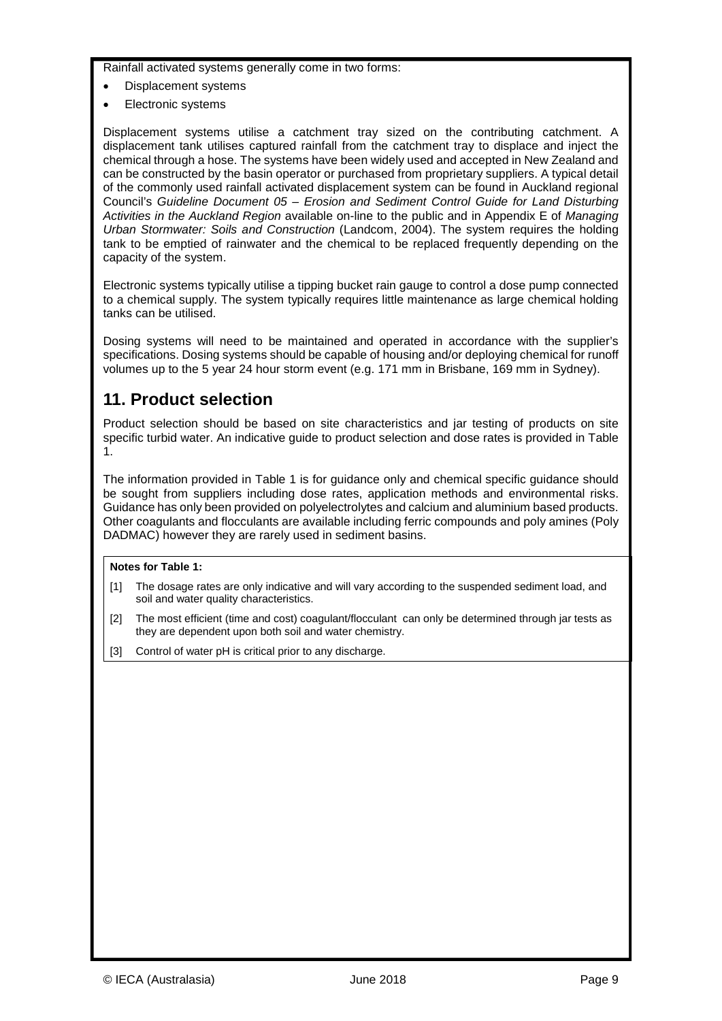Rainfall activated systems generally come in two forms:

- Displacement systems
- Electronic systems

 $\overline{a}$ 

Displacement systems utilise a catchment tray sized on the contributing catchment. A displacement tank utilises captured rainfall from the catchment tray to displace and inject the chemical through a hose. The systems have been widely used and accepted in New Zealand and can be constructed by the basin operator or purchased from proprietary suppliers. A typical detail of the commonly used rainfall activated displacement system can be found in Auckland regional Council's *Guideline Document 05 – Erosion and Sediment Control Guide for Land Disturbing Activities in the Auckland Region* available on-line to the public and in Appendix E of *Managing Urban Stormwater: Soils and Construction* (Landcom, 2004). The system requires the holding tank to be emptied of rainwater and the chemical to be replaced frequently depending on the capacity of the system.

Electronic systems typically utilise a tipping bucket rain gauge to control a dose pump connected to a chemical supply. The system typically requires little maintenance as large chemical holding tanks can be utilised.

Dosing systems will need to be maintained and operated in accordance with the supplier's specifications. Dosing systems should be capable of housing and/or deploying chemical for runoff volumes up to the 5 year 24 hour storm event (e.g. 171 mm in Brisbane, 169 mm in Sydney).

### **11. Product selection**

Product selection should be based on site characteristics and jar testing of products on site specific turbid water. An indicative guide to product selection and dose rates is provided in Table 1.

The information provided in Table 1 is for guidance only and chemical specific guidance should be sought from suppliers including dose rates, application methods and environmental risks. Guidance has only been provided on polyelectrolytes and calcium and aluminium based products. Other coagulants and flocculants are available including ferric compounds and poly amines (Poly DADMAC) however they are rarely used in sediment basins.

#### **Notes for Table 1:**

- [1] The dosage rates are only indicative and will vary according to the suspended sediment load, and soil and water quality characteristics.
- [2] The most efficient (time and cost) coagulant/flocculant can only be determined through jar tests as they are dependent upon both soil and water chemistry.
- [3] Control of water pH is critical prior to any discharge.